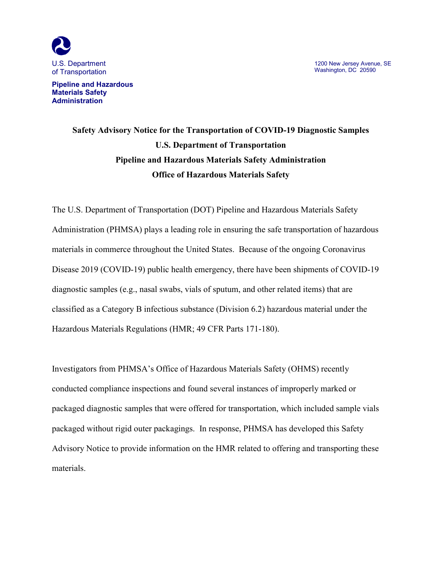



**Pipeline and Hazardous Materials Safety Administration**

# **Safety Advisory Notice for the Transportation of COVID-19 Diagnostic Samples U.S. Department of Transportation Pipeline and Hazardous Materials Safety Administration Office of Hazardous Materials Safety**

The U.S. Department of Transportation (DOT) Pipeline and Hazardous Materials Safety Administration (PHMSA) plays a leading role in ensuring the safe transportation of hazardous materials in commerce throughout the United States. Because of the ongoing Coronavirus Disease 2019 (COVID-19) public health emergency, there have been shipments of COVID-19 diagnostic samples (e.g., nasal swabs, vials of sputum, and other related items) that are classified as a Category B infectious substance (Division 6.2) hazardous material under the Hazardous Materials Regulations (HMR; 49 CFR Parts 171-180).

Investigators from PHMSA's Office of Hazardous Materials Safety (OHMS) recently conducted compliance inspections and found several instances of improperly marked or packaged diagnostic samples that were offered for transportation, which included sample vials packaged without rigid outer packagings. In response, PHMSA has developed this Safety Advisory Notice to provide information on the HMR related to offering and transporting these materials.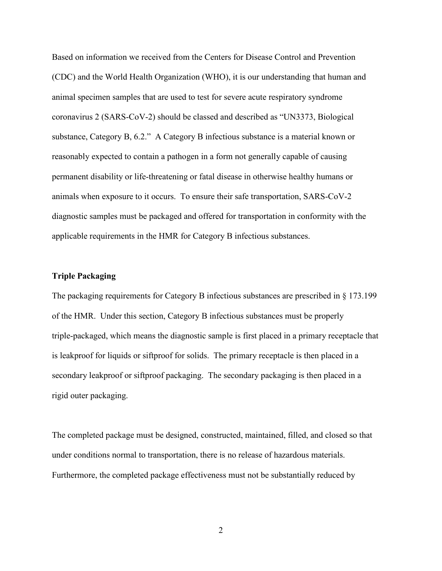Based on information we received from the Centers for Disease Control and Prevention (CDC) and the World Health Organization (WHO), it is our understanding that human and animal specimen samples that are used to test for severe acute respiratory syndrome coronavirus 2 (SARS-CoV-2) should be classed and described as "UN3373, Biological substance, Category B, 6.2." A Category B infectious substance is a material known or reasonably expected to contain a pathogen in a form not generally capable of causing permanent disability or life-threatening or fatal disease in otherwise healthy humans or animals when exposure to it occurs. To ensure their safe transportation, SARS-CoV-2 diagnostic samples must be packaged and offered for transportation in conformity with the applicable requirements in the HMR for Category B infectious substances.

## **Triple Packaging**

The packaging requirements for Category B infectious substances are prescribed in § 173.199 of the HMR. Under this section, Category B infectious substances must be properly triple-packaged, which means the diagnostic sample is first placed in a primary receptacle that is leakproof for liquids or siftproof for solids. The primary receptacle is then placed in a secondary leakproof or siftproof packaging. The secondary packaging is then placed in a rigid outer packaging.

The completed package must be designed, constructed, maintained, filled, and closed so that under conditions normal to transportation, there is no release of hazardous materials. Furthermore, the completed package effectiveness must not be substantially reduced by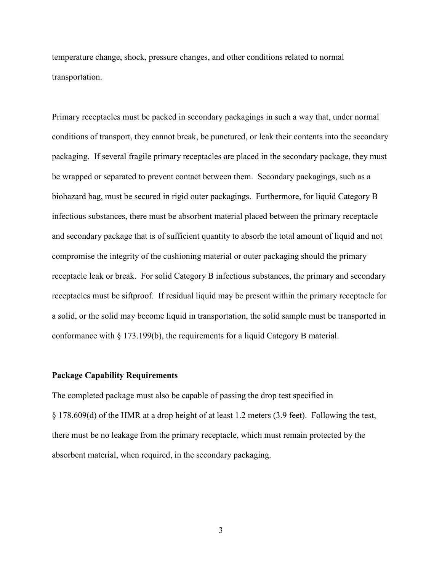temperature change, shock, pressure changes, and other conditions related to normal transportation.

Primary receptacles must be packed in secondary packagings in such a way that, under normal conditions of transport, they cannot break, be punctured, or leak their contents into the secondary packaging. If several fragile primary receptacles are placed in the secondary package, they must be wrapped or separated to prevent contact between them. Secondary packagings, such as a biohazard bag, must be secured in rigid outer packagings. Furthermore, for liquid Category B infectious substances, there must be absorbent material placed between the primary receptacle and secondary package that is of sufficient quantity to absorb the total amount of liquid and not compromise the integrity of the cushioning material or outer packaging should the primary receptacle leak or break. For solid Category B infectious substances, the primary and secondary receptacles must be siftproof. If residual liquid may be present within the primary receptacle for a solid, or the solid may become liquid in transportation, the solid sample must be transported in conformance with § 173.199(b), the requirements for a liquid Category B material.

#### **Package Capability Requirements**

The completed package must also be capable of passing the drop test specified in § 178.609(d) of the HMR at a drop height of at least 1.2 meters (3.9 feet). Following the test, there must be no leakage from the primary receptacle, which must remain protected by the absorbent material, when required, in the secondary packaging.

3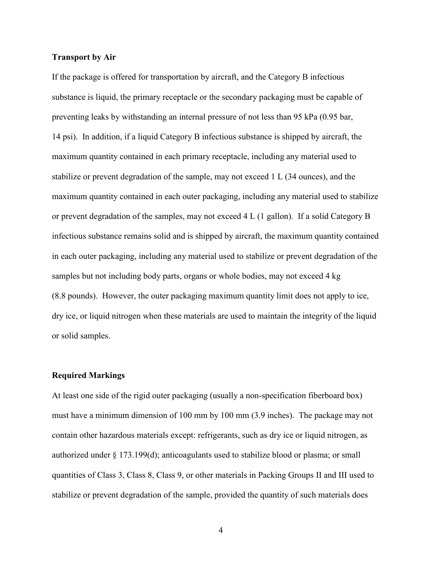### **Transport by Air**

If the package is offered for transportation by aircraft, and the Category B infectious substance is liquid, the primary receptacle or the secondary packaging must be capable of preventing leaks by withstanding an internal pressure of not less than 95 kPa (0.95 bar, 14 psi). In addition, if a liquid Category B infectious substance is shipped by aircraft, the maximum quantity contained in each primary receptacle, including any material used to stabilize or prevent degradation of the sample, may not exceed 1 L (34 ounces), and the maximum quantity contained in each outer packaging, including any material used to stabilize or prevent degradation of the samples, may not exceed 4 L (1 gallon). If a solid Category B infectious substance remains solid and is shipped by aircraft, the maximum quantity contained in each outer packaging, including any material used to stabilize or prevent degradation of the samples but not including body parts, organs or whole bodies, may not exceed 4 kg (8.8 pounds). However, the outer packaging maximum quantity limit does not apply to ice, dry ice, or liquid nitrogen when these materials are used to maintain the integrity of the liquid or solid samples.

#### **Required Markings**

At least one side of the rigid outer packaging (usually a non-specification fiberboard box) must have a minimum dimension of 100 mm by 100 mm (3.9 inches). The package may not contain other hazardous materials except: refrigerants, such as dry ice or liquid nitrogen, as authorized under § 173.199(d); anticoagulants used to stabilize blood or plasma; or small quantities of Class 3, Class 8, Class 9, or other materials in Packing Groups II and III used to stabilize or prevent degradation of the sample, provided the quantity of such materials does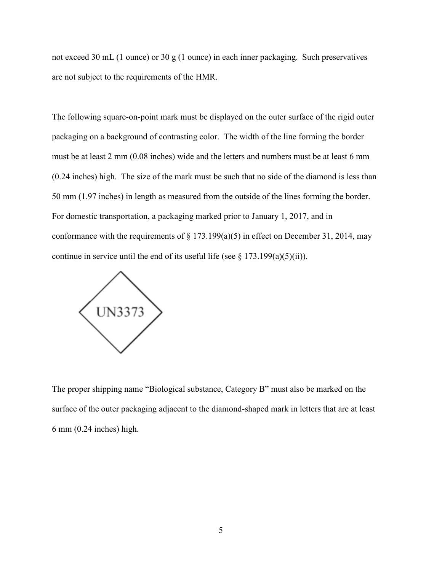not exceed 30 mL (1 ounce) or 30 g (1 ounce) in each inner packaging. Such preservatives are not subject to the requirements of the HMR.

The following square-on-point mark must be displayed on the outer surface of the rigid outer packaging on a background of contrasting color. The width of the line forming the border must be at least 2 mm (0.08 inches) wide and the letters and numbers must be at least 6 mm (0.24 inches) high. The size of the mark must be such that no side of the diamond is less than 50 mm (1.97 inches) in length as measured from the outside of the lines forming the border. For domestic transportation, a packaging marked prior to January 1, 2017, and in conformance with the requirements of  $\S 173.199(a)(5)$  in effect on December 31, 2014, may continue in service until the end of its useful life (see  $\S 173.199(a)(5)(ii)$ ).



The proper shipping name "Biological substance, Category B" must also be marked on the surface of the outer packaging adjacent to the diamond-shaped mark in letters that are at least 6 mm (0.24 inches) high.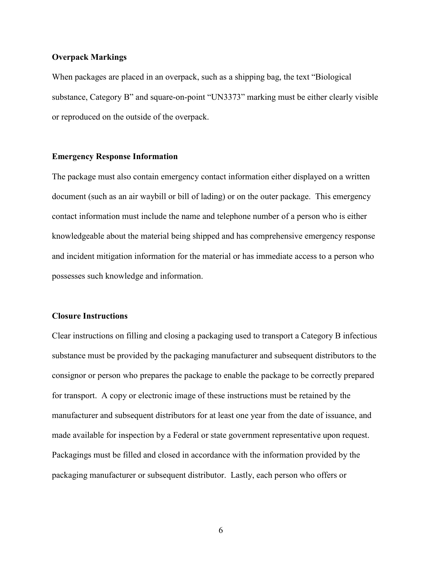### **Overpack Markings**

When packages are placed in an overpack, such as a shipping bag, the text "Biological substance, Category B" and square-on-point "UN3373" marking must be either clearly visible or reproduced on the outside of the overpack.

#### **Emergency Response Information**

The package must also contain emergency contact information either displayed on a written document (such as an air waybill or bill of lading) or on the outer package. This emergency contact information must include the name and telephone number of a person who is either knowledgeable about the material being shipped and has comprehensive emergency response and incident mitigation information for the material or has immediate access to a person who possesses such knowledge and information.

#### **Closure Instructions**

Clear instructions on filling and closing a packaging used to transport a Category B infectious substance must be provided by the packaging manufacturer and subsequent distributors to the consignor or person who prepares the package to enable the package to be correctly prepared for transport. A copy or electronic image of these instructions must be retained by the manufacturer and subsequent distributors for at least one year from the date of issuance, and made available for inspection by a Federal or state government representative upon request. Packagings must be filled and closed in accordance with the information provided by the packaging manufacturer or subsequent distributor. Lastly, each person who offers or

6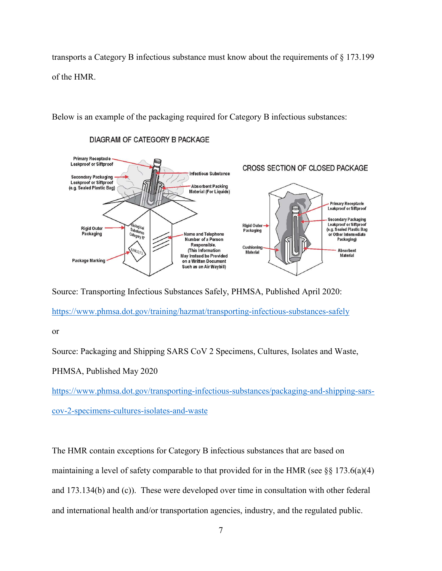transports a Category B infectious substance must know about the requirements of § 173.199 of the HMR.

Below is an example of the packaging required for Category B infectious substances:



#### **DIAGRAM OF CATEGORY B PACKAGE**

Source: Transporting Infectious Substances Safely, PHMSA, Published April 2020:

<https://www.phmsa.dot.gov/training/hazmat/transporting-infectious-substances-safely>

or

Source: Packaging and Shipping SARS CoV 2 Specimens, Cultures, Isolates and Waste,

PHMSA, Published May 2020

[https://www.phmsa.dot.gov/transporting-infectious-substances/packaging-and-shipping-sars](https://www.phmsa.dot.gov/transporting-infectious-substances/packaging-and-shipping-sars-cov-2-specimens-cultures-isolates-and-waste)[cov-2-specimens-cultures-isolates-and-waste](https://www.phmsa.dot.gov/transporting-infectious-substances/packaging-and-shipping-sars-cov-2-specimens-cultures-isolates-and-waste)

The HMR contain exceptions for Category B infectious substances that are based on maintaining a level of safety comparable to that provided for in the HMR (see  $\S$ § 173.6(a)(4) and 173.134(b) and (c)). These were developed over time in consultation with other federal and international health and/or transportation agencies, industry, and the regulated public.